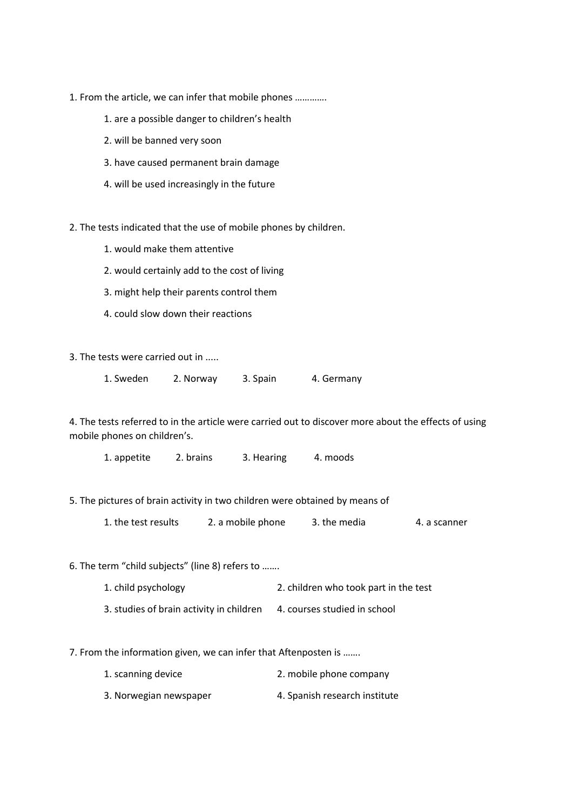- 1. From the article, we can infer that mobile phones ………….
	- 1. are a possible danger to children's health
	- 2. will be banned very soon
	- 3. have caused permanent brain damage
	- 4. will be used increasingly in the future

2. The tests indicated that the use of mobile phones by children.

- 1. would make them attentive
- 2. would certainly add to the cost of living
- 3. might help their parents control them
- 4. could slow down their reactions

3. The tests were carried out in .....

| 1. Sweden | 2. Norway | 3. Spain | 4. Germany |
|-----------|-----------|----------|------------|
|-----------|-----------|----------|------------|

4. The tests referred to in the article were carried out to discover more about the effects of using mobile phones on children's.

1. appetite 2. brains 3. Hearing 4. moods

- 5. The pictures of brain activity in two children were obtained by means of
	- 1. the test results 2. a mobile phone 3. the media 4. a scanner

6. The term "child subjects" (line 8) refers to …….

- 1. child psychology 2. children who took part in the test
- 3. studies of brain activity in children 4. courses studied in school

7. From the information given, we can infer that Aftenposten is …….

- 1. scanning device 2. mobile phone company
- 3. Norwegian newspaper 4. Spanish research institute